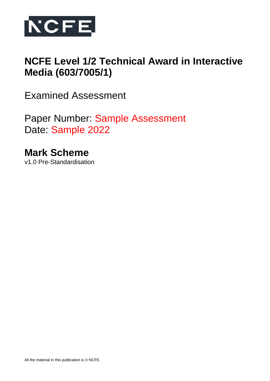

# **NCFE Level 1/2 Technical Award in Interactive Media (603/7005/1)**

Examined Assessment

Paper Number: Sample Assessment Date: Sample 2022

**Mark Scheme** v1.0 Pre-Standardisation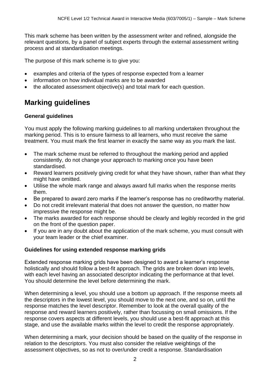This mark scheme has been written by the assessment writer and refined, alongside the relevant questions, by a panel of subject experts through the external assessment writing process and at standardisation meetings.

The purpose of this mark scheme is to give you:

- examples and criteria of the types of response expected from a learner
- information on how individual marks are to be awarded
- the allocated assessment objective(s) and total mark for each question.

# **Marking guidelines**

#### **General guidelines**

You must apply the following marking guidelines to all marking undertaken throughout the marking period. This is to ensure fairness to all learners, who must receive the same treatment. You must mark the first learner in exactly the same way as you mark the last.

- The mark scheme must be referred to throughout the marking period and applied consistently, do not change your approach to marking once you have been standardised.
- Reward learners positively giving credit for what they have shown, rather than what they might have omitted.
- Utilise the whole mark range and always award full marks when the response merits them.
- Be prepared to award zero marks if the learner's response has no creditworthy material.
- Do not credit irrelevant material that does not answer the question, no matter how impressive the response might be.
- The marks awarded for each response should be clearly and legibly recorded in the grid on the front of the question paper.
- If you are in any doubt about the application of the mark scheme, you must consult with your team leader or the chief examiner.

#### **Guidelines for using extended response marking grids**

Extended response marking grids have been designed to award a learner's response holistically and should follow a best-fit approach. The grids are broken down into levels, with each level having an associated descriptor indicating the performance at that level. You should determine the level before determining the mark.

When determining a level, you should use a bottom up approach. If the response meets all the descriptors in the lowest level, you should move to the next one, and so on, until the response matches the level descriptor. Remember to look at the overall quality of the response and reward learners positively, rather than focussing on small omissions. If the response covers aspects at different levels, you should use a best-fit approach at this stage, and use the available marks within the level to credit the response appropriately.

When determining a mark, your decision should be based on the quality of the response in relation to the descriptors. You must also consider the relative weightings of the assessment objectives, so as not to over/under credit a response. Standardisation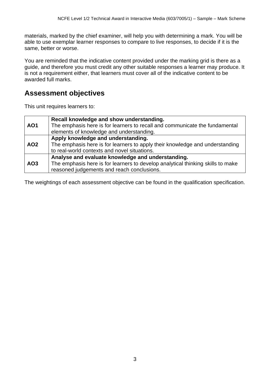materials, marked by the chief examiner, will help you with determining a mark. You will be able to use exemplar learner responses to compare to live responses, to decide if it is the same, better or worse.

You are reminded that the indicative content provided under the marking grid is there as a guide, and therefore you must credit any other suitable responses a learner may produce. It is not a requirement either, that learners must cover all of the indicative content to be awarded full marks.

# **Assessment objectives**

This unit requires learners to:

| <b>AO1</b>      | Recall knowledge and show understanding.<br>The emphasis here is for learners to recall and communicate the fundamental<br>elements of knowledge and understanding.                |
|-----------------|------------------------------------------------------------------------------------------------------------------------------------------------------------------------------------|
| AO <sub>2</sub> | Apply knowledge and understanding.<br>The emphasis here is for learners to apply their knowledge and understanding<br>to real-world contexts and novel situations.                 |
| AO <sub>3</sub> | Analyse and evaluate knowledge and understanding.<br>The emphasis here is for learners to develop analytical thinking skills to make<br>reasoned judgements and reach conclusions. |

The weightings of each assessment objective can be found in the qualification specification.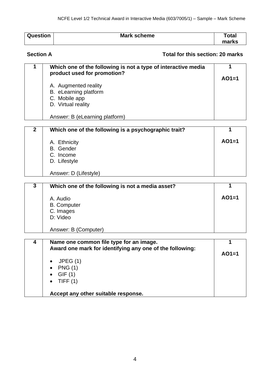| <b>Question</b> | <b>Mark scheme</b> | ™otal |
|-----------------|--------------------|-------|
|                 |                    | marks |

### **Section A Total for this section: 20 marks**

| Which one of the following is not a type of interactive media<br>product used for promotion? | $AO1=1$ |
|----------------------------------------------------------------------------------------------|---------|
| A. Augmented reality<br>B. eLearning platform<br>C. Mobile app<br>D. Virtual reality         |         |
| Answer: B (eLearning platform)                                                               |         |

| 2 | Which one of the following is a psychographic trait? |         |
|---|------------------------------------------------------|---------|
|   | A. Ethnicity                                         | $AO1=1$ |
|   | <b>B.</b> Gender                                     |         |
|   | C. Income                                            |         |
|   | D. Lifestyle                                         |         |
|   |                                                      |         |
|   | Answer: D (Lifestyle)                                |         |

| 3 | Which one of the following is not a media asset? |         |
|---|--------------------------------------------------|---------|
|   | A. Audio                                         | $AO1=1$ |
|   | <b>B.</b> Computer                               |         |
|   | C. Images<br>D: Video                            |         |
|   |                                                  |         |
|   | Answer: B (Computer)                             |         |

| Name one common file type for an image.<br>Award one mark for identifying any one of the following: | $AO1=1$ |
|-----------------------------------------------------------------------------------------------------|---------|
| JPEG(1)<br><b>PNG (1)</b><br>$\bullet$                                                              |         |
| GIF(1)                                                                                              |         |
| $\bullet$ TIFF (1)                                                                                  |         |
| Accept any other suitable response.                                                                 |         |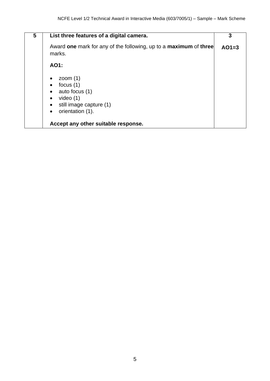| 5 | List three features of a digital camera.                                                                               | 3       |
|---|------------------------------------------------------------------------------------------------------------------------|---------|
|   | Award one mark for any of the following, up to a maximum of three<br>marks.                                            | $AO1=3$ |
|   | AO1:                                                                                                                   |         |
|   | zoom $(1)$<br>focus $(1)$<br>auto focus (1)<br>video $(1)$<br>still image capture (1)<br>orientation (1).<br>$\bullet$ |         |
|   | Accept any other suitable response.                                                                                    |         |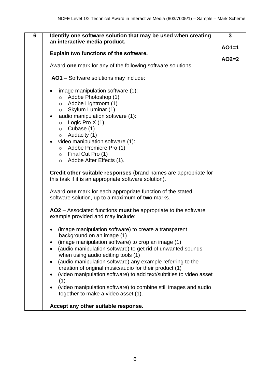| an interactive media product.                                                                                                                                                                                                                                                                                                                                                                                                                                                                                                                                                                                                                                | $AO1=1$ |
|--------------------------------------------------------------------------------------------------------------------------------------------------------------------------------------------------------------------------------------------------------------------------------------------------------------------------------------------------------------------------------------------------------------------------------------------------------------------------------------------------------------------------------------------------------------------------------------------------------------------------------------------------------------|---------|
|                                                                                                                                                                                                                                                                                                                                                                                                                                                                                                                                                                                                                                                              |         |
| Explain two functions of the software.                                                                                                                                                                                                                                                                                                                                                                                                                                                                                                                                                                                                                       | $AO2=2$ |
| Award one mark for any of the following software solutions.                                                                                                                                                                                                                                                                                                                                                                                                                                                                                                                                                                                                  |         |
| AO1 - Software solutions may include:                                                                                                                                                                                                                                                                                                                                                                                                                                                                                                                                                                                                                        |         |
| image manipulation software (1):<br>Adobe Photoshop (1)<br>$\circ$<br>Adobe Lightroom (1)<br>$\circ$<br>$\circ$ Skylum Luminar (1)<br>audio manipulation software (1):<br>Logic Pro $X(1)$<br>$\circ$<br>Cubase (1)<br>$\circ$<br>Audacity (1)<br>$\circ$<br>video manipulation software (1):<br>$\bullet$<br>$\circ$ Adobe Premiere Pro (1)<br>$\circ$ Final Cut Pro (1)<br>$\circ$ Adobe After Effects (1).<br>Credit other suitable responses (brand names are appropriate for<br>this task if it is an appropriate software solution).<br>Award one mark for each appropriate function of the stated<br>software solution, up to a maximum of two marks. |         |
| AO2 – Associated functions must be appropriate to the software<br>example provided and may include:                                                                                                                                                                                                                                                                                                                                                                                                                                                                                                                                                          |         |
| (image manipulation software) to create a transparent<br>background on an image (1)<br>(image manipulation software) to crop an image (1)<br>(audio manipulation software) to get rid of unwanted sounds<br>when using audio editing tools (1)<br>(audio manipulation software) any example referring to the<br>٠<br>creation of original music/audio for their product (1)<br>(video manipulation software) to add text/subtitles to video asset<br>(1)<br>(video manipulation software) to combine still images and audio<br>together to make a video asset (1).<br>Accept any other suitable response.                                                    |         |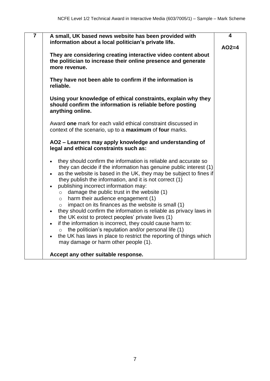| $\overline{7}$ | A small, UK based news website has been provided with<br>information about a local politician's private life.                                                                                                                                                                                                                                                                                                                                                                                                                                                                                                                                                                                                                                                                                                                                                                                                                          | 4<br>$AO2=4$ |
|----------------|----------------------------------------------------------------------------------------------------------------------------------------------------------------------------------------------------------------------------------------------------------------------------------------------------------------------------------------------------------------------------------------------------------------------------------------------------------------------------------------------------------------------------------------------------------------------------------------------------------------------------------------------------------------------------------------------------------------------------------------------------------------------------------------------------------------------------------------------------------------------------------------------------------------------------------------|--------------|
|                | They are considering creating interactive video content about<br>the politician to increase their online presence and generate<br>more revenue.                                                                                                                                                                                                                                                                                                                                                                                                                                                                                                                                                                                                                                                                                                                                                                                        |              |
|                | They have not been able to confirm if the information is<br>reliable.                                                                                                                                                                                                                                                                                                                                                                                                                                                                                                                                                                                                                                                                                                                                                                                                                                                                  |              |
|                | Using your knowledge of ethical constraints, explain why they<br>should confirm the information is reliable before posting<br>anything online.                                                                                                                                                                                                                                                                                                                                                                                                                                                                                                                                                                                                                                                                                                                                                                                         |              |
|                | Award one mark for each valid ethical constraint discussed in<br>context of the scenario, up to a maximum of four marks.                                                                                                                                                                                                                                                                                                                                                                                                                                                                                                                                                                                                                                                                                                                                                                                                               |              |
|                | AO2 - Learners may apply knowledge and understanding of<br>legal and ethical constraints such as:                                                                                                                                                                                                                                                                                                                                                                                                                                                                                                                                                                                                                                                                                                                                                                                                                                      |              |
|                | they should confirm the information is reliable and accurate so<br>$\bullet$<br>they can decide if the information has genuine public interest (1)<br>as the website is based in the UK, they may be subject to fines if<br>they publish the information, and it is not correct (1)<br>publishing incorrect information may:<br>$\bullet$<br>damage the public trust in the website (1)<br>$\circ$<br>harm their audience engagement (1)<br>$\circ$<br>impact on its finances as the website is small (1)<br>$\circ$<br>they should confirm the information is reliable as privacy laws in<br>$\bullet$<br>the UK exist to protect peoples' private lives (1)<br>if the information is incorrect, they could cause harm to:<br>$\bullet$<br>the politician's reputation and/or personal life (1)<br>$\circ$<br>the UK has laws in place to restrict the reporting of things which<br>$\bullet$<br>may damage or harm other people (1). |              |
|                | Accept any other suitable response.                                                                                                                                                                                                                                                                                                                                                                                                                                                                                                                                                                                                                                                                                                                                                                                                                                                                                                    |              |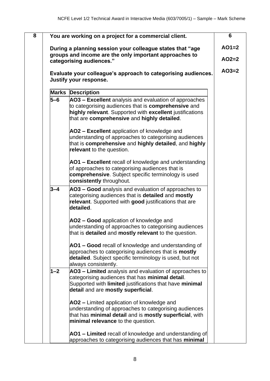| $\overline{\mathbf{8}}$ |         | You are working on a project for a commercial client.                                                                                                                                                                          | $6\phantom{1}6$ |
|-------------------------|---------|--------------------------------------------------------------------------------------------------------------------------------------------------------------------------------------------------------------------------------|-----------------|
|                         |         | During a planning session your colleague states that "age                                                                                                                                                                      | $AO1=2$         |
|                         |         | groups and income are the only important approaches to<br>categorising audiences."                                                                                                                                             | $AO2=2$         |
|                         |         |                                                                                                                                                                                                                                |                 |
|                         |         | Evaluate your colleague's approach to categorising audiences.<br>Justify your response.                                                                                                                                        | $AO3=2$         |
|                         |         | <b>Marks Description</b>                                                                                                                                                                                                       |                 |
|                         | $5 - 6$ | AO3 - Excellent analysis and evaluation of approaches<br>to categorising audiences that is <b>comprehensive</b> and<br>highly relevant. Supported with excellent justifications<br>that are comprehensive and highly detailed. |                 |
|                         |         | AO2 – Excellent application of knowledge and<br>understanding of approaches to categorising audiences<br>that is comprehensive and highly detailed, and highly<br>relevant to the question.                                    |                 |
|                         |         | AO1 - Excellent recall of knowledge and understanding<br>of approaches to categorising audiences that is<br>comprehensive. Subject specific terminology is used<br>consistently throughout.                                    |                 |
|                         | $3 - 4$ | AO3 - Good analysis and evaluation of approaches to<br>categorising audiences that is detailed and mostly<br>relevant. Supported with good justifications that are<br>detailed.                                                |                 |
|                         |         | AO2 - Good application of knowledge and<br>understanding of approaches to categorising audiences<br>that is detailed and mostly relevant to the question.                                                                      |                 |
|                         |         | AO1 – Good recall of knowledge and understanding of<br>approaches to categorising audiences that is <b>mostly</b><br>detailed. Subject specific terminology is used, but not<br>always consistently.                           |                 |
|                         | $1 - 2$ | AO3 - Limited analysis and evaluation of approaches to<br>categorising audiences that has minimal detail.<br>Supported with limited justifications that have minimal<br>detail and are mostly superficial.                     |                 |
|                         |         | AO2 – Limited application of knowledge and<br>understanding of approaches to categorising audiences<br>that has minimal detail and is mostly superficial, with<br>minimal relevance to the question.                           |                 |
|                         |         | AO1 – Limited recall of knowledge and understanding of<br>approaches to categorising audiences that has minimal                                                                                                                |                 |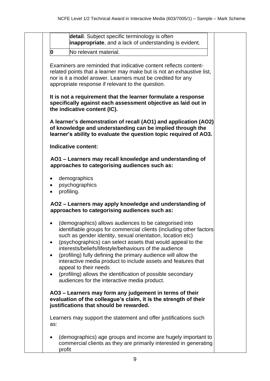|           | detail. Subject specific terminology is often<br><b>inappropriate</b> , and a lack of understanding is evident.                                                                                                                                                                                                                                                                                                                                                                                                                                                                                 |
|-----------|-------------------------------------------------------------------------------------------------------------------------------------------------------------------------------------------------------------------------------------------------------------------------------------------------------------------------------------------------------------------------------------------------------------------------------------------------------------------------------------------------------------------------------------------------------------------------------------------------|
| 0         | No relevant material.                                                                                                                                                                                                                                                                                                                                                                                                                                                                                                                                                                           |
|           | Examiners are reminded that indicative content reflects content-<br>related points that a learner may make but is not an exhaustive list,<br>nor is it a model answer. Learners must be credited for any<br>appropriate response if relevant to the question.                                                                                                                                                                                                                                                                                                                                   |
|           | It is not a requirement that the learner formulate a response<br>specifically against each assessment objective as laid out in<br>the indicative content (IC).                                                                                                                                                                                                                                                                                                                                                                                                                                  |
|           | A learner's demonstration of recall (AO1) and application (AO2)<br>of knowledge and understanding can be implied through the<br>learner's ability to evaluate the question topic required of AO3.                                                                                                                                                                                                                                                                                                                                                                                               |
|           | <b>Indicative content:</b>                                                                                                                                                                                                                                                                                                                                                                                                                                                                                                                                                                      |
|           | AO1 - Learners may recall knowledge and understanding of<br>approaches to categorising audiences such as:                                                                                                                                                                                                                                                                                                                                                                                                                                                                                       |
|           | demographics<br>psychographics<br>profiling.                                                                                                                                                                                                                                                                                                                                                                                                                                                                                                                                                    |
|           | AO2 - Learners may apply knowledge and understanding of<br>approaches to categorising audiences such as:                                                                                                                                                                                                                                                                                                                                                                                                                                                                                        |
| $\bullet$ | (demographics) allows audiences to be categorised into<br>identifiable groups for commercial clients (including other factors<br>such as gender identity, sexual orientation, location etc)<br>(psychographics) can select assets that would appeal to the<br>interests/beliefs/lifestyle/behaviours of the audience<br>(profiling) fully defining the primary audience will allow the<br>interactive media product to include assets and features that<br>appeal to their needs<br>(profiling) allows the identification of possible secondary<br>audiences for the interactive media product. |
|           | AO3 - Learners may form any judgement in terms of their<br>evaluation of the colleague's claim, it is the strength of their<br>justifications that should be rewarded.                                                                                                                                                                                                                                                                                                                                                                                                                          |
| as:       | Learners may support the statement and offer justifications such                                                                                                                                                                                                                                                                                                                                                                                                                                                                                                                                |
| profit    | (demographics) age groups and income are hugely important to<br>commercial clients as they are primarily interested in generating                                                                                                                                                                                                                                                                                                                                                                                                                                                               |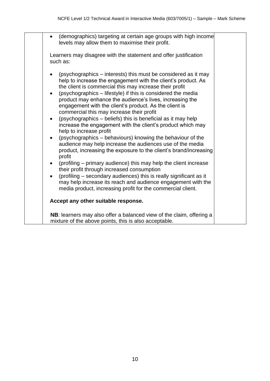|                                     | (demographics) targeting at certain age groups with high income<br>levels may allow them to maximise their profit.                                                                                                                                                                                                                                                                                                                                                                                                                                                                                                                                                                                                                                                                                                                                                                                                                                                                                                                                                                                                       |  |
|-------------------------------------|--------------------------------------------------------------------------------------------------------------------------------------------------------------------------------------------------------------------------------------------------------------------------------------------------------------------------------------------------------------------------------------------------------------------------------------------------------------------------------------------------------------------------------------------------------------------------------------------------------------------------------------------------------------------------------------------------------------------------------------------------------------------------------------------------------------------------------------------------------------------------------------------------------------------------------------------------------------------------------------------------------------------------------------------------------------------------------------------------------------------------|--|
|                                     | Learners may disagree with the statement and offer justification<br>such as:                                                                                                                                                                                                                                                                                                                                                                                                                                                                                                                                                                                                                                                                                                                                                                                                                                                                                                                                                                                                                                             |  |
| $\bullet$<br>$\bullet$<br>$\bullet$ | (psychographics – interests) this must be considered as it may<br>help to increase the engagement with the client's product. As<br>the client is commercial this may increase their profit<br>(psychographics – lifestyle) if this is considered the media<br>product may enhance the audience's lives, increasing the<br>engagement with the client's product. As the client is<br>commercial this may increase their profit<br>(psychographics – beliefs) this is beneficial as it may help<br>increase the engagement with the client's product which may<br>help to increase profit<br>(psychographics - behaviours) knowing the behaviour of the<br>audience may help increase the audiences use of the media<br>product, increasing the exposure to the client's brand/increasing<br>profit<br>(profiling – primary audience) this may help the client increase<br>their profit through increased consumption<br>(profiling – secondary audiences) this is really significant as it<br>may help increase its reach and audience engagement with the<br>media product, increasing profit for the commercial client. |  |
|                                     | Accept any other suitable response.                                                                                                                                                                                                                                                                                                                                                                                                                                                                                                                                                                                                                                                                                                                                                                                                                                                                                                                                                                                                                                                                                      |  |
|                                     | NB: learners may also offer a balanced view of the claim, offering a<br>mixture of the above points, this is also acceptable.                                                                                                                                                                                                                                                                                                                                                                                                                                                                                                                                                                                                                                                                                                                                                                                                                                                                                                                                                                                            |  |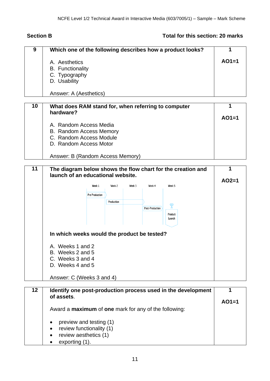### **Section B Total for this section: 20 marks**

| 9  | Which one of the following describes how a product looks?   |         |
|----|-------------------------------------------------------------|---------|
|    | A. Aesthetics                                               | $AO1=1$ |
|    | <b>B.</b> Functionality                                     |         |
|    | C. Typography                                               |         |
|    | D. Usability                                                |         |
|    | Answer: A (Aesthetics)                                      |         |
|    |                                                             |         |
| 10 | What does RAM stand for, when referring to computer         |         |
|    | hardware?                                                   |         |
|    |                                                             | $AO1=1$ |
|    | A. Random Access Media                                      |         |
|    | B. Random Access Memory                                     |         |
|    | C. Random Access Module                                     |         |
|    | D. Random Access Motor                                      |         |
|    | Answer: B (Random Access Memory)                            |         |
|    |                                                             |         |
| 11 | The disaram helow shows the flow chart for the creation and |         |

|                                             | Week 1                | Week 2     | Week 3 | Week 4                 | Week 5            | $AO2=1$ |
|---------------------------------------------|-----------------------|------------|--------|------------------------|-------------------|---------|
|                                             | <b>Pre Production</b> |            |        |                        |                   |         |
|                                             |                       | Production |        |                        |                   |         |
|                                             |                       |            |        | <b>Post-Production</b> |                   |         |
|                                             |                       |            |        |                        | Product<br>Launch |         |
|                                             |                       |            |        |                        |                   |         |
|                                             |                       |            |        |                        |                   |         |
| In which weeks would the product be tested? |                       |            |        |                        |                   |         |
|                                             |                       |            |        |                        |                   |         |
| A. Weeks 1 and 2                            |                       |            |        |                        |                   |         |
| B. Weeks 2 and 5                            |                       |            |        |                        |                   |         |
| C. Weeks 3 and 4                            |                       |            |        |                        |                   |         |

| 12 | Identify one post-production process used in the development<br>of assets. |         |
|----|----------------------------------------------------------------------------|---------|
|    |                                                                            | $AO1=1$ |
|    | Award a <b>maximum</b> of <b>one</b> mark for any of the following:        |         |
|    | preview and testing (1)<br>$\bullet$                                       |         |
|    | review functionality (1)<br>$\bullet$                                      |         |
|    | review aesthetics (1)<br>$\bullet$                                         |         |
|    | exporting (1).<br>$\bullet$                                                |         |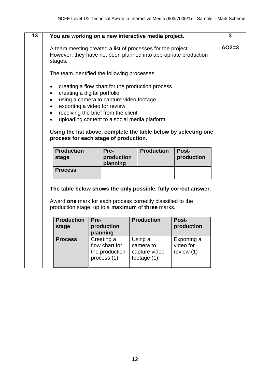|                                              |                                                                                                                                                                                                 | You are working on a new interactive media project.                                                                            |                                          |  |  |  |  |
|----------------------------------------------|-------------------------------------------------------------------------------------------------------------------------------------------------------------------------------------------------|--------------------------------------------------------------------------------------------------------------------------------|------------------------------------------|--|--|--|--|
| stages.                                      |                                                                                                                                                                                                 | A team meeting created a list of processes for the project.<br>However, they have not been planned into appropriate production |                                          |  |  |  |  |
| The team identified the following processes: |                                                                                                                                                                                                 |                                                                                                                                |                                          |  |  |  |  |
| $\bullet$                                    | creating a digital portfolio<br>using a camera to capture video footage<br>exporting a video for review<br>receiving the brief from the client<br>uploading content to a social media platform. | creating a flow chart for the production process<br>Using the list above, complete the table below by selecting one            |                                          |  |  |  |  |
|                                              | process for each stage of production.                                                                                                                                                           |                                                                                                                                |                                          |  |  |  |  |
| <b>Production</b><br>stage                   | Pre-<br>production<br>planning                                                                                                                                                                  | <b>Production</b>                                                                                                              | Post-<br>production                      |  |  |  |  |
| <b>Process</b>                               |                                                                                                                                                                                                 |                                                                                                                                |                                          |  |  |  |  |
|                                              | The table below shows the only possible, fully correct answer.                                                                                                                                  |                                                                                                                                |                                          |  |  |  |  |
|                                              |                                                                                                                                                                                                 | Award one mark for each process correctly classified to the<br>production stage, up to a <b>maximum</b> of three marks.        |                                          |  |  |  |  |
| <b>Production</b><br>stage                   | Pre-<br>production<br>planning                                                                                                                                                                  | <b>Production</b>                                                                                                              | Post-<br>production                      |  |  |  |  |
| <b>Process</b>                               | Creating a<br>flow chart for<br>the production<br>process (1)                                                                                                                                   | Using a<br>camera to<br>capture video<br>footage (1)                                                                           | Exporting a<br>video for<br>review $(1)$ |  |  |  |  |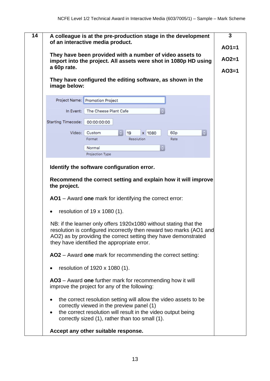| a 60p rate.               | import into the project. All assets were shot in 1080p HD using<br>They have configured the editing software, as shown in the                                                                                                                              |
|---------------------------|------------------------------------------------------------------------------------------------------------------------------------------------------------------------------------------------------------------------------------------------------------|
| image below:              |                                                                                                                                                                                                                                                            |
|                           | Project Name: Promotion Project                                                                                                                                                                                                                            |
| In Event:                 | The Cheese Plant Cafe                                                                                                                                                                                                                                      |
| <b>Starting Timecode:</b> | 00:00:00:00                                                                                                                                                                                                                                                |
| Video:                    | 60 <sub>p</sub><br>$\mathbb{C}$<br>Custom<br>19<br>1080<br>$\mathsf{x}$                                                                                                                                                                                    |
|                           | Format<br>Resolution<br>Rate                                                                                                                                                                                                                               |
|                           | Normal                                                                                                                                                                                                                                                     |
|                           | Projection Type                                                                                                                                                                                                                                            |
|                           | <b>AO1</b> – Award one mark for identifying the correct error:                                                                                                                                                                                             |
| $\bullet$                 | resolution of 19 x 1080 (1).                                                                                                                                                                                                                               |
|                           |                                                                                                                                                                                                                                                            |
|                           | NB: if the learner only offers 1920x1080 without stating that the<br>resolution is configured incorrectly then reward two marks (AO1 and<br>AO2) as by providing the correct setting they have demonstrated<br>they have identified the appropriate error. |
|                           | AO2 - Award one mark for recommending the correct setting:                                                                                                                                                                                                 |
|                           | resolution of 1920 x 1080 (1).                                                                                                                                                                                                                             |
|                           | AO3 – Award one further mark for recommending how it will<br>improve the project for any of the following:                                                                                                                                                 |
|                           | the correct resolution setting will allow the video assets to be<br>correctly viewed in the preview panel (1)<br>the correct resolution will result in the video output being<br>correctly sized (1), rather than too small (1).                           |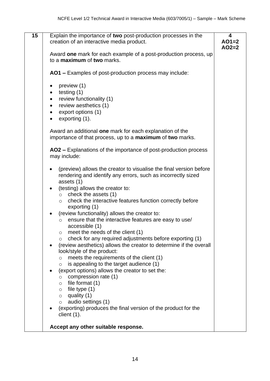| $\overline{15}$ | Explain the importance of two post-production processes in the<br>creation of an interactive media product.                                                                                                                                     | 4<br>$AO1=2$<br>$AO2=2$ |
|-----------------|-------------------------------------------------------------------------------------------------------------------------------------------------------------------------------------------------------------------------------------------------|-------------------------|
|                 | Award one mark for each example of a post-production process, up<br>to a maximum of two marks.                                                                                                                                                  |                         |
|                 | AO1 - Examples of post-production process may include:                                                                                                                                                                                          |                         |
|                 | preview (1)<br>$\bullet$<br>testing $(1)$<br>$\bullet$<br>review functionality (1)<br>٠<br>review aesthetics (1)<br>$\bullet$<br>export options (1)<br>$\bullet$<br>exporting (1).<br>$\bullet$                                                 |                         |
|                 | Award an additional one mark for each explanation of the<br>importance of that process, up to a maximum of two marks.                                                                                                                           |                         |
|                 | AO2 – Explanations of the importance of post-production process<br>may include:                                                                                                                                                                 |                         |
|                 | (preview) allows the creator to visualise the final version before<br>rendering and identify any errors, such as incorrectly sized<br>assets (1)<br>(testing) allows the creator to:                                                            |                         |
|                 | check the assets (1)<br>$\circ$<br>check the interactive features function correctly before<br>$\circ$<br>exporting (1)                                                                                                                         |                         |
|                 | (review functionality) allows the creator to:<br>ensure that the interactive features are easy to use/<br>$\circ$<br>accessible (1)<br>$\circ$ meet the needs of the client (1)<br>check for any required adjustments before exporting (1)<br>O |                         |
|                 | (review aesthetics) allows the creator to determine if the overall<br>look/style of the product:<br>meets the requirements of the client (1)<br>$\circ$<br>is appealing to the target audience (1)<br>O                                         |                         |
|                 | (export options) allows the creator to set the:<br>compression rate (1)<br>$\circ$<br>file format (1)<br>O<br>file type $(1)$<br>$\circ$<br>quality (1)<br>$\circ$<br>audio settings (1)<br>$\circ$                                             |                         |
|                 | (exporting) produces the final version of the product for the<br>client $(1)$ .                                                                                                                                                                 |                         |
|                 | Accept any other suitable response.                                                                                                                                                                                                             |                         |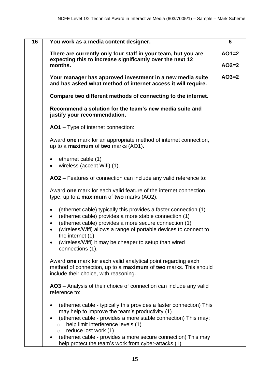| 16 | You work as a media content designer.                                                                                                                                     | 6       |
|----|---------------------------------------------------------------------------------------------------------------------------------------------------------------------------|---------|
|    | There are currently only four staff in your team, but you are<br>expecting this to increase significantly over the next 12                                                | $AO1=2$ |
|    | months.                                                                                                                                                                   | $AO2=2$ |
|    | Your manager has approved investment in a new media suite<br>and has asked what method of internet access it will require.                                                | $AO3=2$ |
|    | Compare two different methods of connecting to the internet.                                                                                                              |         |
|    | Recommend a solution for the team's new media suite and<br>justify your recommendation.                                                                                   |         |
|    | AO1 - Type of internet connection:                                                                                                                                        |         |
|    | Award one mark for an appropriate method of internet connection,<br>up to a <b>maximum</b> of two marks (AO1).                                                            |         |
|    | ethernet cable (1)<br>wireless (accept Wifi) (1).<br>$\bullet$                                                                                                            |         |
|    | AO2 - Features of connection can include any valid reference to:                                                                                                          |         |
|    | Award one mark for each valid feature of the internet connection<br>type, up to a <b>maximum</b> of two marks (AO2).                                                      |         |
|    | (ethernet cable) typically this provides a faster connection (1)<br>٠<br>(ethernet cable) provides a more stable connection (1)<br>$\bullet$                              |         |
|    | (ethernet cable) provides a more secure connection (1)<br>(wireless/Wifi) allows a range of portable devices to connect to                                                |         |
|    | the internet (1)<br>(wireless/Wifi) it may be cheaper to setup than wired<br>connections (1).                                                                             |         |
|    | Award one mark for each valid analytical point regarding each<br>method of connection, up to a maximum of two marks. This should<br>include their choice, with reasoning. |         |
|    | AO3 – Analysis of their choice of connection can include any valid<br>reference to:                                                                                       |         |
|    | (ethernet cable - typically this provides a faster connection) This<br>may help to improve the team's productivity (1)                                                    |         |
|    | (ethernet cable - provides a more stable connection) This may:<br>help limit interference levels (1)<br>$\circ$<br>reduce lost work (1)<br>$\circ$                        |         |
|    | (ethernet cable - provides a more secure connection) This may<br>help protect the team's work from cyber-attacks (1)                                                      |         |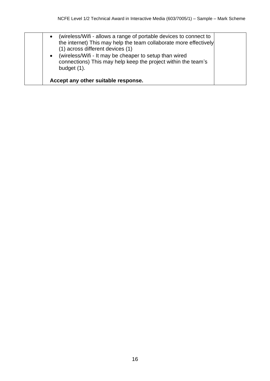| $\bullet$<br>$\bullet$ | (wireless/Wifi - allows a range of portable devices to connect to<br>the internet) This may help the team collaborate more effectively<br>(1) across different devices (1)<br>(wireless/Wifi - It may be cheaper to setup than wired<br>connections) This may help keep the project within the team's<br>budget (1). |
|------------------------|----------------------------------------------------------------------------------------------------------------------------------------------------------------------------------------------------------------------------------------------------------------------------------------------------------------------|
|                        | Accept any other suitable response.                                                                                                                                                                                                                                                                                  |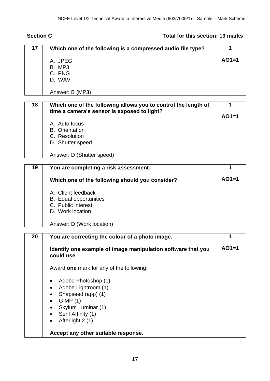### **Section C Total for this section: 19 marks**

| 17 | Which one of the following is a compressed audio file type?    | 1       |
|----|----------------------------------------------------------------|---------|
|    | A. JPEG                                                        | $AO1=1$ |
|    | B. MP3                                                         |         |
|    | C. PNG                                                         |         |
|    | D. WAV                                                         |         |
|    |                                                                |         |
|    | Answer: B (MP3)                                                |         |
|    |                                                                |         |
| 18 | Which one of the following allows you to control the length of | 1       |
|    | time a camera's sensor is exposed to light?                    | $AO1=1$ |
|    |                                                                |         |
|    | A. Auto focus                                                  |         |
|    | <b>B.</b> Orientation<br>C. Resolution                         |         |
|    |                                                                |         |
|    | D. Shutter speed                                               |         |
|    | Answer: D (Shutter speed)                                      |         |
|    |                                                                |         |
| 19 | You are completing a risk assessment.                          |         |
|    |                                                                |         |
|    | Which one of the following should you consider?                | $AO1=1$ |
|    | A. Client feedback                                             |         |
|    | <b>B.</b> Equal opportunities                                  |         |
|    | C. Public interest                                             |         |
|    | D. Work location                                               |         |
|    |                                                                |         |
|    | Answer: D (Work location)                                      |         |
| 20 | You are correcting the colour of a photo image.                | 1       |
|    |                                                                |         |
|    | Identify one example of image manipulation software that you   | $AO1=1$ |
|    | could use.                                                     |         |
|    |                                                                |         |
|    | Award one mark for any of the following:                       |         |
|    | Adobe Photoshop (1)<br>$\bullet$                               |         |
|    | Adobe Lightroom (1)                                            |         |
|    | Snapseed (app) (1)                                             |         |
|    | GIMP(1)<br>٠                                                   |         |
|    | Skylum Luminar (1)                                             |         |
|    | Serif Affinity (1)<br>$\bullet$                                |         |
|    | Afterlight 2 (1).                                              |         |
|    |                                                                |         |
|    | Accept any other suitable response.                            |         |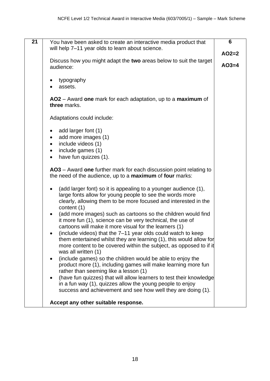| $\overline{21}$ | You have been asked to create an interactive media product that                   | 6       |
|-----------------|-----------------------------------------------------------------------------------|---------|
|                 | will help 7-11 year olds to learn about science.                                  |         |
|                 |                                                                                   | $AO2=2$ |
|                 | Discuss how you might adapt the two areas below to suit the target                |         |
|                 | audience:                                                                         | $AO3=4$ |
|                 |                                                                                   |         |
|                 | typography<br>assets.                                                             |         |
|                 |                                                                                   |         |
|                 | AO2 – Award one mark for each adaptation, up to a maximum of                      |         |
|                 | three marks.                                                                      |         |
|                 | Adaptations could include:                                                        |         |
|                 |                                                                                   |         |
|                 | add larger font (1)                                                               |         |
|                 | add more images (1)                                                               |         |
|                 | include videos (1)<br>$\bullet$                                                   |         |
|                 | include games (1)<br>$\bullet$                                                    |         |
|                 | have fun quizzes (1).<br>$\bullet$                                                |         |
|                 | AO3 – Award one further mark for each discussion point relating to                |         |
|                 | the need of the audience, up to a <b>maximum</b> of four marks:                   |         |
|                 |                                                                                   |         |
|                 | (add larger font) so it is appealing to a younger audience (1),                   |         |
|                 | large fonts allow for young people to see the words more                          |         |
|                 | clearly, allowing them to be more focused and interested in the<br>content (1)    |         |
|                 | (add more images) such as cartoons so the children would find                     |         |
|                 | it more fun (1), science can be very technical, the use of                        |         |
|                 | cartoons will make it more visual for the learners (1)                            |         |
|                 | (include videos) that the 7–11 year olds could watch to keep                      |         |
|                 | them entertained whilst they are learning (1), this would allow for               |         |
|                 | more content to be covered within the subject, as opposed to if it                |         |
|                 | was all written (1)<br>(include games) so the children would be able to enjoy the |         |
|                 | $\bullet$<br>product more (1), including games will make learning more fun        |         |
|                 | rather than seeming like a lesson (1)                                             |         |
|                 | (have fun quizzes) that will allow learners to test their knowledge               |         |
|                 | in a fun way (1), quizzes allow the young people to enjoy                         |         |
|                 | success and achievement and see how well they are doing (1).                      |         |
|                 |                                                                                   |         |
|                 | Accept any other suitable response.                                               |         |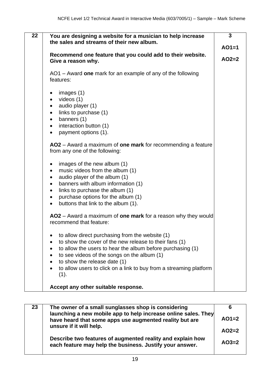| 22 | You are designing a website for a musician to help increase                                    | 3       |
|----|------------------------------------------------------------------------------------------------|---------|
|    | the sales and streams of their new album.                                                      |         |
|    |                                                                                                | $AO1=1$ |
|    | Recommend one feature that you could add to their website.<br>Give a reason why.               | $AO2=2$ |
|    | AO1 – Award one mark for an example of any of the following<br>features:                       |         |
|    | images (1)                                                                                     |         |
|    | videos (1)<br>$\bullet$                                                                        |         |
|    | audio player (1)<br>$\bullet$                                                                  |         |
|    | links to purchase (1)<br>$\bullet$                                                             |         |
|    | banners (1)<br>$\bullet$                                                                       |         |
|    | interaction button (1)<br>$\bullet$                                                            |         |
|    | payment options (1).<br>$\bullet$                                                              |         |
|    | AO2 – Award a maximum of one mark for recommending a feature<br>from any one of the following: |         |
|    | images of the new album (1)<br>$\bullet$                                                       |         |
|    | music videos from the album (1)<br>$\bullet$                                                   |         |
|    | audio player of the album (1)<br>$\bullet$<br>banners with album information (1)<br>$\bullet$  |         |
|    | links to purchase the album (1)<br>$\bullet$                                                   |         |
|    | purchase options for the album (1)<br>$\bullet$                                                |         |
|    | buttons that link to the album (1).<br>$\bullet$                                               |         |
|    |                                                                                                |         |
|    | AO2 – Award a maximum of one mark for a reason why they would<br>recommend that feature:       |         |
|    | to allow direct purchasing from the website (1)                                                |         |
|    | to show the cover of the new release to their fans (1)                                         |         |
|    | to allow the users to hear the album before purchasing (1)<br>٠                                |         |
|    | to see videos of the songs on the album (1)                                                    |         |
|    | to show the release date (1)                                                                   |         |
|    | to allow users to click on a link to buy from a streaming platform                             |         |
|    | (1).                                                                                           |         |
|    | Accept any other suitable response.                                                            |         |

| The owner of a small sunglasses shop is considering                                                                    |                                                                                           |
|------------------------------------------------------------------------------------------------------------------------|-------------------------------------------------------------------------------------------|
| have heard that some apps use augmented reality but are                                                                | $AO1=2$                                                                                   |
|                                                                                                                        | $AO2=2$                                                                                   |
| Describe two features of augmented reality and explain how<br>each feature may help the business. Justify your answer. | $AO3=2$                                                                                   |
|                                                                                                                        | launching a new mobile app to help increase online sales. They<br>unsure if it will help. |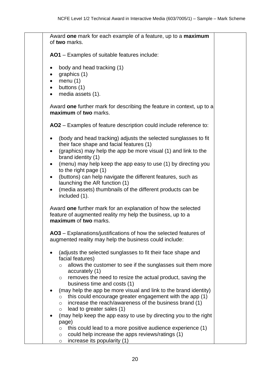Award **one** mark for each example of a feature, up to a **maximum** of **two** marks. **AO1** – Examples of suitable features include:

- body and head tracking (1)
- graphics (1)
- menu $(1)$
- buttons (1)
- media assets (1).

Award **one** further mark for describing the feature in context, up to a **maximum** of **two** marks.

**AO2** – Examples of feature description could include reference to:

- (body and head tracking) adjusts the selected sunglasses to fit their face shape and facial features (1)
- (graphics) may help the app be more visual (1) and link to the brand identity (1)
- (menu) may help keep the app easy to use (1) by directing you to the right page (1)
- (buttons) can help navigate the different features, such as launching the AR function (1)
- (media assets) thumbnails of the different products can be included (1).

Award **one** further mark for an explanation of how the selected feature of augmented reality my help the business, up to a **maximum** of **two** marks.

**AO3** – Explanations/justifications of how the selected features of augmented reality may help the business could include:

- (adjusts the selected sunglasses to fit their face shape and facial features)
	- o allows the customer to see if the sunglasses suit them more accurately (1)
	- o removes the need to resize the actual product, saving the business time and costs (1)
- (may help the app be more visual and link to the brand identity)
	- $\circ$  this could encourage greater engagement with the app (1)
	- o increase the reach/awareness of the business brand (1)
	- $\circ$  lead to greater sales (1)
- (may help keep the app easy to use by directing you to the right page)
	- $\circ$  this could lead to a more positive audience experience (1)
	- $\circ$  could help increase the apps reviews/ratings (1)
	- $\circ$  increase its popularity (1)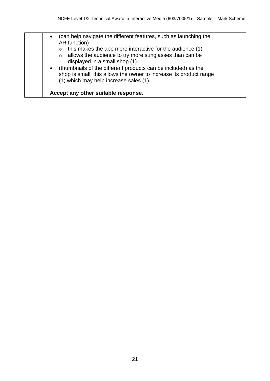| (can help navigate the different features, such as launching the<br>$\bullet$<br>AR function)<br>this makes the app more interactive for the audience (1)<br>$\circ$<br>allows the audience to try more sunglasses than can be<br>$\circ$<br>displayed in a small shop (1)<br>(thumbnails of the different products can be included) as the<br>$\bullet$<br>shop is small, this allows the owner to increase its product range<br>(1) which may help increase sales (1). |
|--------------------------------------------------------------------------------------------------------------------------------------------------------------------------------------------------------------------------------------------------------------------------------------------------------------------------------------------------------------------------------------------------------------------------------------------------------------------------|
| Accept any other suitable response.                                                                                                                                                                                                                                                                                                                                                                                                                                      |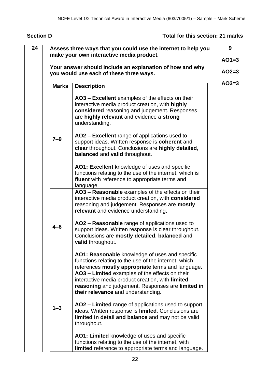### **Section D Total for this section: 21 marks**

|              |                                                                                                                                                                                                                     | $AO1=3$ |
|--------------|---------------------------------------------------------------------------------------------------------------------------------------------------------------------------------------------------------------------|---------|
|              | Your answer should include an explanation of how and why<br>you would use each of these three ways.                                                                                                                 | $AO2=3$ |
| <b>Marks</b> | <b>Description</b>                                                                                                                                                                                                  | $AO3=3$ |
|              | AO3 - Excellent examples of the effects on their<br>interactive media product creation, with highly<br>considered reasoning and judgement. Responses<br>are highly relevant and evidence a strong<br>understanding. |         |
| $7 - 9$      | AO2 – Excellent range of applications used to<br>support ideas. Written response is coherent and<br>clear throughout. Conclusions are highly detailed,<br>balanced and valid throughout.                            |         |
|              | AO1: Excellent knowledge of uses and specific<br>functions relating to the use of the internet, which is<br>fluent with reference to appropriate terms and<br>language.                                             |         |
|              | AO3 - Reasonable examples of the effects on their<br>interactive media product creation, with considered<br>reasoning and judgement. Responses are mostly<br>relevant and evidence understanding.                   |         |
| $4 - 6$      | AO2 - Reasonable range of applications used to<br>support ideas. Written response is clear throughout.<br>Conclusions are mostly detailed, balanced and<br>valid throughout.                                        |         |
|              | AO1: Reasonable knowledge of uses and specific<br>functions relating to the use of the internet, which<br>references mostly appropriate terms and language.                                                         |         |
|              | AO3 - Limited examples of the effects on their<br>interactive media product creation, with limited<br>reasoning and judgement. Responses are limited in<br>their relevance and understanding.                       |         |
| $1 - 3$      | AO2 - Limited range of applications used to support<br>ideas. Written response is limited. Conclusions are<br>limited in detail and balance and may not be valid<br>throughout.                                     |         |
|              | AO1: Limited knowledge of uses and specific<br>functions relating to the use of the internet, with<br>limited reference to appropriate terms and language.                                                          |         |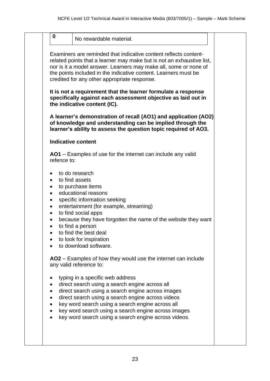|           | No rewardable material.                                                                                                                                                                                                                                                                                                          |  |
|-----------|----------------------------------------------------------------------------------------------------------------------------------------------------------------------------------------------------------------------------------------------------------------------------------------------------------------------------------|--|
|           |                                                                                                                                                                                                                                                                                                                                  |  |
|           | Examiners are reminded that indicative content reflects content-<br>related points that a learner may make but is not an exhaustive list,<br>nor is it a model answer. Learners may make all, some or none of<br>the points included in the indicative content. Learners must be<br>credited for any other appropriate response. |  |
|           | It is not a requirement that the learner formulate a response<br>specifically against each assessment objective as laid out in<br>the indicative content (IC).                                                                                                                                                                   |  |
|           | A learner's demonstration of recall (AO1) and application (AO2)<br>of knowledge and understanding can be implied through the<br>learner's ability to assess the question topic required of AO3.                                                                                                                                  |  |
|           | <b>Indicative content</b>                                                                                                                                                                                                                                                                                                        |  |
|           | AO1 – Examples of use for the internet can include any valid<br>refence to:                                                                                                                                                                                                                                                      |  |
|           | to do research                                                                                                                                                                                                                                                                                                                   |  |
| $\bullet$ | to find assets                                                                                                                                                                                                                                                                                                                   |  |
| $\bullet$ | to purchase items                                                                                                                                                                                                                                                                                                                |  |
| $\bullet$ | educational reasons                                                                                                                                                                                                                                                                                                              |  |
| $\bullet$ | specific information seeking                                                                                                                                                                                                                                                                                                     |  |
| $\bullet$ | entertainment (for example, streaming)<br>to find social apps                                                                                                                                                                                                                                                                    |  |
| $\bullet$ | because they have forgotten the name of the website they want                                                                                                                                                                                                                                                                    |  |
|           | to find a person                                                                                                                                                                                                                                                                                                                 |  |
|           | to find the best deal                                                                                                                                                                                                                                                                                                            |  |
|           | to look for inspiration                                                                                                                                                                                                                                                                                                          |  |
|           | to download software.                                                                                                                                                                                                                                                                                                            |  |
|           | AO2 – Examples of how they would use the internet can include<br>any valid reference to:                                                                                                                                                                                                                                         |  |
|           | typing in a specific web address                                                                                                                                                                                                                                                                                                 |  |
| ٠         | direct search using a search engine across all                                                                                                                                                                                                                                                                                   |  |
|           | direct search using a search engine across images                                                                                                                                                                                                                                                                                |  |
|           | direct search using a search engine across videos                                                                                                                                                                                                                                                                                |  |
| $\bullet$ |                                                                                                                                                                                                                                                                                                                                  |  |
| ٠         | key word search using a search engine across all                                                                                                                                                                                                                                                                                 |  |
| $\bullet$ | key word search using a search engine across images                                                                                                                                                                                                                                                                              |  |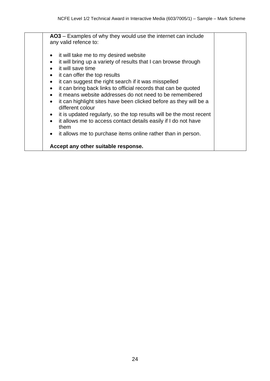**AO3** – Examples of why they would use the internet can include any valid refence to: • it will take me to my desired website

- it will bring up a variety of results that I can browse through
- it will save time
- it can offer the top results
- it can suggest the right search if it was misspelled
- it can bring back links to official records that can be quoted
- it means website addresses do not need to be remembered
- it can highlight sites have been clicked before as they will be a different colour
- it is updated regularly, so the top results will be the most recent
- it allows me to access contact details easily if I do not have them
- it allows me to purchase items online rather than in person.

#### **Accept any other suitable response.**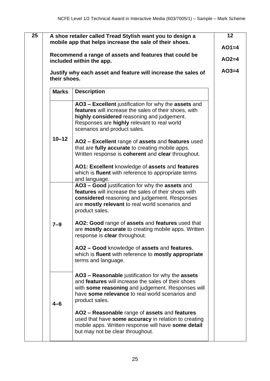|              | Justify why each asset and feature will increase the sales of<br>their shoes.                                                                                                                                                              | $AO3=4$ |
|--------------|--------------------------------------------------------------------------------------------------------------------------------------------------------------------------------------------------------------------------------------------|---------|
| <b>Marks</b> | <b>Description</b>                                                                                                                                                                                                                         |         |
|              | AO3 - Excellent justification for why the assets and<br>features will increase the sales of their shoes, with<br>highly considered reasoning and judgement.<br>Responses are highly relevant to real world<br>scenarios and product sales. |         |
| $10 - 12$    | AO2 - Excellent range of assets and features used<br>that are fully accurate to creating mobile apps.<br>Written response is coherent and clear throughout.                                                                                |         |
|              | AO1: Excellent knowledge of assets and features<br>which is fluent with reference to appropriate terms<br>and language.                                                                                                                    |         |
|              | AO3 - Good justification for why the assets and<br>features will increase the sales of their shoes with<br>considered reasoning and judgement. Responses<br>are mostly relevant to real world scenarios and<br>product sales.              |         |
| $7 - 9$      | AO2: Good range of assets and features used that<br>are mostly accurate to creating mobile apps. Written<br>response is <b>clear</b> throughout.                                                                                           |         |
|              | AO2 - Good knowledge of assets and features,<br>which is fluent with reference to mostly appropriate<br>terms and language.                                                                                                                |         |
| $4 - 6$      | AO3 – Reasonable justification for why the assets<br>and features will increase the sales of their shoes<br>with some reasoning and judgement. Responses will<br>have some relevance to real world scenarios and<br>product sales.         |         |
|              | AO2 - Reasonable range of assets and features<br>used that have some accuracy in relation to creating<br>mobile apps. Written response will have some detail<br>but may not be clear throughout.                                           |         |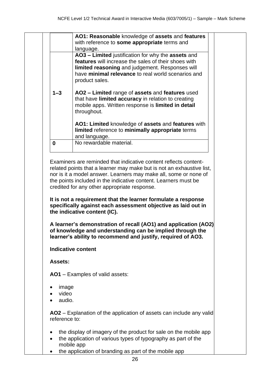|          | AO3 - Limited justification for why the assets and<br>features will increase the sales of their shoes with<br>limited reasoning and judgement. Responses will<br>have minimal relevance to real world scenarios and<br>product sales. |
|----------|---------------------------------------------------------------------------------------------------------------------------------------------------------------------------------------------------------------------------------------|
| $1 - 3$  | AO2 - Limited range of assets and features used<br>that have limited accuracy in relation to creating<br>mobile apps. Written response is limited in detail<br>throughout.                                                            |
|          | AO1: Limited knowledge of assets and features with<br>limited reference to minimally appropriate terms<br>and language.                                                                                                               |
| $\bf{0}$ | No rewardable material.                                                                                                                                                                                                               |

nor is it a model answer. Learners may make all, some or none of the points included in the indicative content. Learners must be credited for any other appropriate response.

**It is not a requirement that the learner formulate a response specifically against each assessment objective as laid out in the indicative content (IC).** 

**A learner's demonstration of recall (AO1) and application (AO2) of knowledge and understanding can be implied through the learner's ability to recommend and justify, required of AO3.** 

#### **Indicative content**

**Assets:**

**AO1** – Examples of valid assets:

- image
- video
- audio.

**AO2** – Explanation of the application of assets can include any valid reference to:

- the display of imagery of the product for sale on the mobile app
- the application of various types of typography as part of the mobile app
- the application of branding as part of the mobile app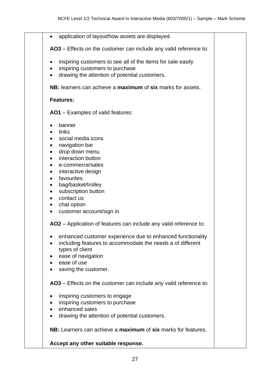| application of layout/how assets are displayed.<br>$\bullet$                     |  |
|----------------------------------------------------------------------------------|--|
| AO3 – Effects on the customer can include any valid reference to:                |  |
| inspiring customers to see all of the items for sale easily                      |  |
| inspiring customers to purchase<br>drawing the attention of potential customers. |  |
|                                                                                  |  |
| NB: learners can achieve a maximum of six marks for assets.                      |  |
| <b>Features:</b>                                                                 |  |
| <b>AO1</b> – Examples of valid features:                                         |  |
| banner                                                                           |  |
| links                                                                            |  |
| social media icons                                                               |  |
| navigation bar                                                                   |  |
| drop down menu                                                                   |  |
| interaction button                                                               |  |
| e-commerce/sales                                                                 |  |
| interactive design                                                               |  |
| favourites<br>$\bullet$                                                          |  |
| bag/basket/trolley                                                               |  |
| subscription button                                                              |  |
| contact us                                                                       |  |
| chat option                                                                      |  |
| customer account/sign in.                                                        |  |
| AO2 – Application of features can include any valid reference to:                |  |
| enhanced customer experience due to enhanced functionality                       |  |
| including features to accommodate the needs a of different                       |  |
| types of client                                                                  |  |
| ease of navigation                                                               |  |
| ease of use                                                                      |  |
| saving the customer.                                                             |  |
| AO3 – Effects on the customer can include any valid reference to:                |  |
| inspiring customers to engage                                                    |  |
| inspiring customers to purchase                                                  |  |
| enhanced sales                                                                   |  |
| drawing the attention of potential customers.                                    |  |
| NB: Learners can achieve a maximum of six marks for features.                    |  |
| Accept any other suitable response.                                              |  |